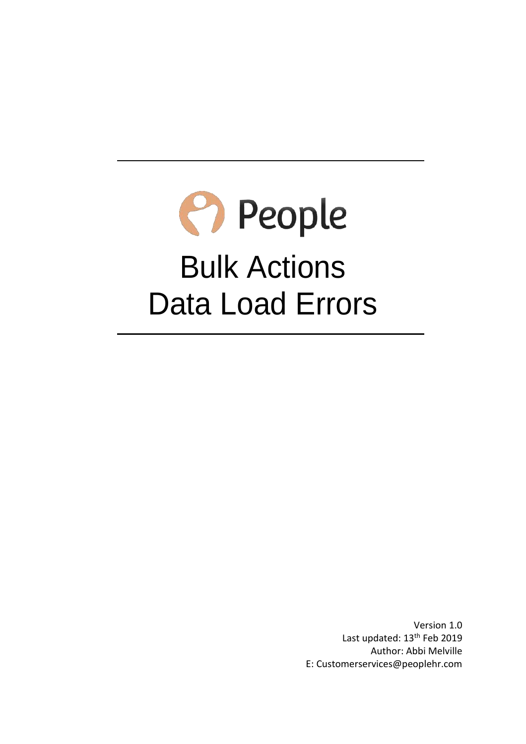# P People Bulk Actions Data Load Errors

Version 1.0 Last updated: 13<sup>th</sup> Feb 2019 Author: Abbi Melville E: Customerservices@peoplehr.com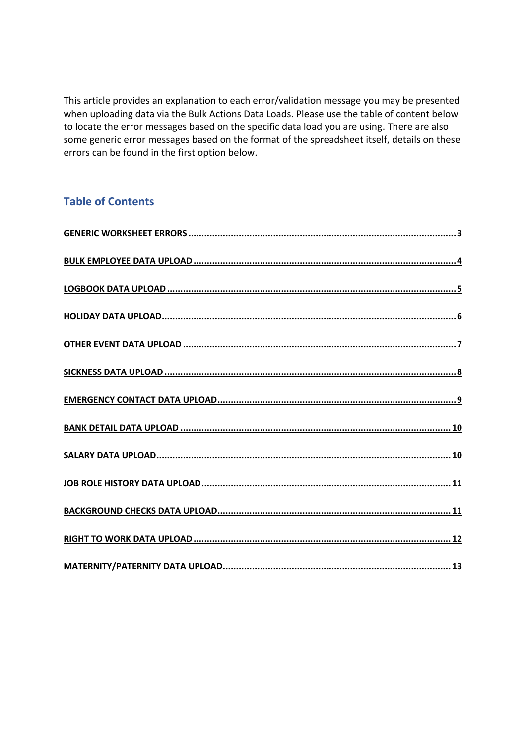This article provides an explanation to each error/validation message you may be presented when uploading data via the Bulk Actions Data Loads. Please use the table of content below to locate the error messages based on the specific data load you are using. There are also some generic error messages based on the format of the spreadsheet itself, details on these errors can be found in the first option below.

### **Table of Contents**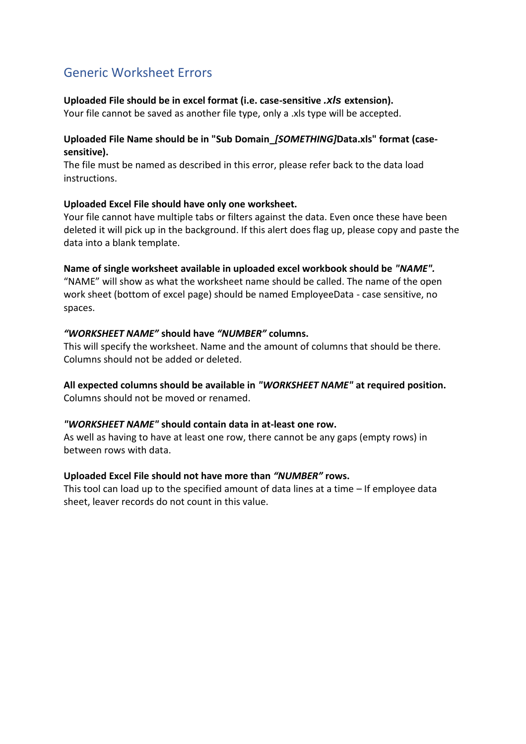### <span id="page-2-0"></span>Generic Worksheet Errors

#### **Uploaded File should be in excel format (i.e. case-sensitive** *.xls* **extension).**

Your file cannot be saved as another file type, only a .xls type will be accepted.

### **Uploaded File Name should be in "Sub Domain\_***[SOMETHING]***Data.xls" format (casesensitive).**

The file must be named as described in this error, please refer back to the data load instructions.

#### **Uploaded Excel File should have only one worksheet.**

Your file cannot have multiple tabs or filters against the data. Even once these have been deleted it will pick up in the background. If this alert does flag up, please copy and paste the data into a blank template.

#### **Name of single worksheet available in uploaded excel workbook should be** *"NAME".*

"NAME" will show as what the worksheet name should be called. The name of the open work sheet (bottom of excel page) should be named EmployeeData - case sensitive, no spaces.

#### *"WORKSHEET NAME"* **should have** *"NUMBER"* **columns.**

This will specify the worksheet. Name and the amount of columns that should be there. Columns should not be added or deleted.

#### **All expected columns should be available in** *"WORKSHEET NAME"* **at required position.** Columns should not be moved or renamed.

#### *"WORKSHEET NAME"* **should contain data in at-least one row.**

As well as having to have at least one row, there cannot be any gaps (empty rows) in between rows with data.

#### **Uploaded Excel File should not have more than** *"NUMBER"* **rows.**

This tool can load up to the specified amount of data lines at a time – If employee data sheet, leaver records do not count in this value.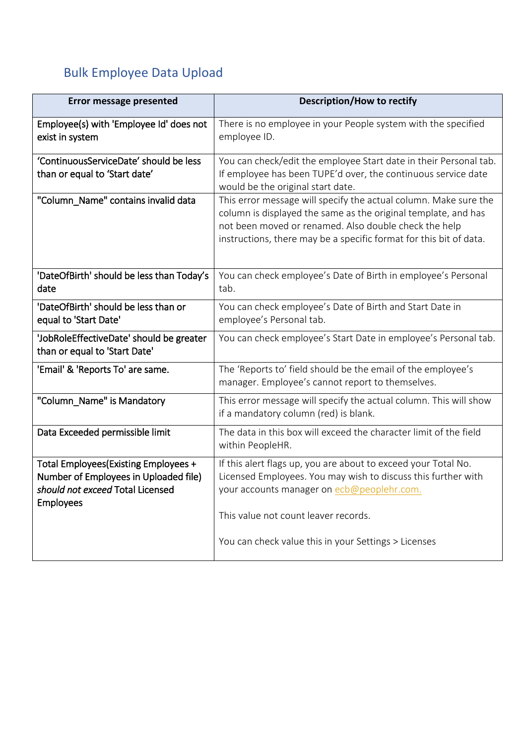# <span id="page-3-0"></span>Bulk Employee Data Upload

| <b>Error message presented</b>                                                                                                        | <b>Description/How to rectify</b>                                                                                                                                                                                                                                             |
|---------------------------------------------------------------------------------------------------------------------------------------|-------------------------------------------------------------------------------------------------------------------------------------------------------------------------------------------------------------------------------------------------------------------------------|
| Employee(s) with 'Employee Id' does not<br>exist in system                                                                            | There is no employee in your People system with the specified<br>employee ID.                                                                                                                                                                                                 |
| 'ContinuousServiceDate' should be less<br>than or equal to 'Start date'                                                               | You can check/edit the employee Start date in their Personal tab.<br>If employee has been TUPE'd over, the continuous service date<br>would be the original start date.                                                                                                       |
| "Column_Name" contains invalid data                                                                                                   | This error message will specify the actual column. Make sure the<br>column is displayed the same as the original template, and has<br>not been moved or renamed. Also double check the help<br>instructions, there may be a specific format for this bit of data.             |
| 'DateOfBirth' should be less than Today's<br>date                                                                                     | You can check employee's Date of Birth in employee's Personal<br>tab.                                                                                                                                                                                                         |
| 'DateOfBirth' should be less than or<br>equal to 'Start Date'                                                                         | You can check employee's Date of Birth and Start Date in<br>employee's Personal tab.                                                                                                                                                                                          |
| 'JobRoleEffectiveDate' should be greater<br>than or equal to 'Start Date'                                                             | You can check employee's Start Date in employee's Personal tab.                                                                                                                                                                                                               |
| 'Email' & 'Reports To' are same.                                                                                                      | The 'Reports to' field should be the email of the employee's<br>manager. Employee's cannot report to themselves.                                                                                                                                                              |
| "Column_Name" is Mandatory                                                                                                            | This error message will specify the actual column. This will show<br>if a mandatory column (red) is blank.                                                                                                                                                                    |
| Data Exceeded permissible limit                                                                                                       | The data in this box will exceed the character limit of the field<br>within PeopleHR.                                                                                                                                                                                         |
| Total Employees(Existing Employees +<br>Number of Employees in Uploaded file)<br>should not exceed Total Licensed<br><b>Employees</b> | If this alert flags up, you are about to exceed your Total No.<br>Licensed Employees. You may wish to discuss this further with<br>your accounts manager on ecb@peoplehr.com.<br>This value not count leaver records.<br>You can check value this in your Settings > Licenses |
|                                                                                                                                       |                                                                                                                                                                                                                                                                               |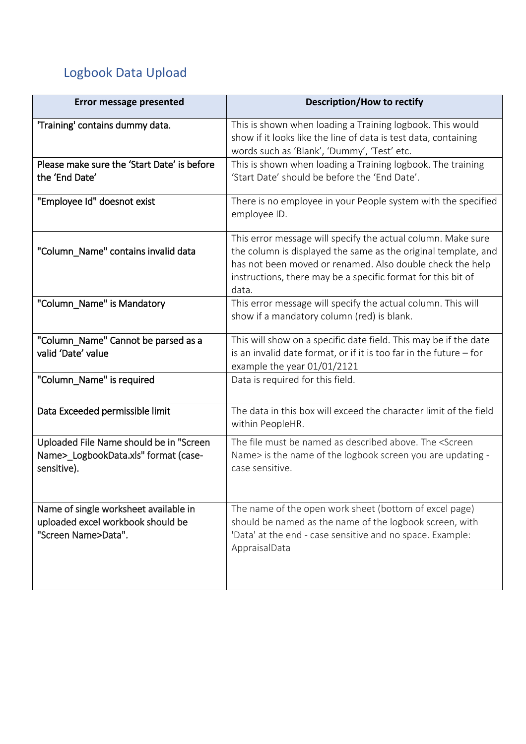# <span id="page-4-0"></span>Logbook Data Upload

| Error message presented                                                                           | <b>Description/How to rectify</b>                                                                                                                                                                                                                                    |
|---------------------------------------------------------------------------------------------------|----------------------------------------------------------------------------------------------------------------------------------------------------------------------------------------------------------------------------------------------------------------------|
| 'Training' contains dummy data.                                                                   | This is shown when loading a Training logbook. This would<br>show if it looks like the line of data is test data, containing<br>words such as 'Blank', 'Dummy', 'Test' etc.                                                                                          |
| Please make sure the 'Start Date' is before<br>the 'End Date'                                     | This is shown when loading a Training logbook. The training<br>'Start Date' should be before the 'End Date'.                                                                                                                                                         |
| "Employee Id" doesnot exist                                                                       | There is no employee in your People system with the specified<br>employee ID.                                                                                                                                                                                        |
| "Column_Name" contains invalid data                                                               | This error message will specify the actual column. Make sure<br>the column is displayed the same as the original template, and<br>has not been moved or renamed. Also double check the help<br>instructions, there may be a specific format for this bit of<br>data. |
| "Column_Name" is Mandatory                                                                        | This error message will specify the actual column. This will<br>show if a mandatory column (red) is blank.                                                                                                                                                           |
| "Column_Name" Cannot be parsed as a<br>valid 'Date' value                                         | This will show on a specific date field. This may be if the date<br>is an invalid date format, or if it is too far in the future $-$ for<br>example the year 01/01/2121                                                                                              |
| "Column_Name" is required                                                                         | Data is required for this field.                                                                                                                                                                                                                                     |
| Data Exceeded permissible limit                                                                   | The data in this box will exceed the character limit of the field<br>within PeopleHR.                                                                                                                                                                                |
| Uploaded File Name should be in "Screen"<br>Name>_LogbookData.xls" format (case-<br>sensitive).   | The file must be named as described above. The <screen<br>Name&gt; is the name of the logbook screen you are updating -<br/>case sensitive.</screen<br>                                                                                                              |
| Name of single worksheet available in<br>uploaded excel workbook should be<br>"Screen Name>Data". | The name of the open work sheet (bottom of excel page)<br>should be named as the name of the logbook screen, with<br>'Data' at the end - case sensitive and no space. Example:<br>AppraisalData                                                                      |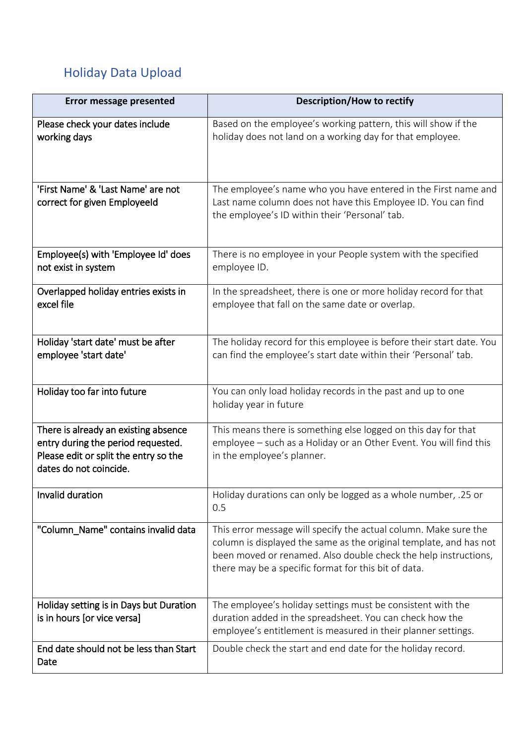# <span id="page-5-0"></span>Holiday Data Upload

| <b>Error message presented</b>                                                                                                                | Description/How to rectify                                                                                                                                                                                                                                        |
|-----------------------------------------------------------------------------------------------------------------------------------------------|-------------------------------------------------------------------------------------------------------------------------------------------------------------------------------------------------------------------------------------------------------------------|
| Please check your dates include<br>working days                                                                                               | Based on the employee's working pattern, this will show if the<br>holiday does not land on a working day for that employee.                                                                                                                                       |
| 'First Name' & 'Last Name' are not<br>correct for given EmployeeId                                                                            | The employee's name who you have entered in the First name and<br>Last name column does not have this Employee ID. You can find<br>the employee's ID within their 'Personal' tab.                                                                                 |
| Employee(s) with 'Employee Id' does<br>not exist in system                                                                                    | There is no employee in your People system with the specified<br>employee ID.                                                                                                                                                                                     |
| Overlapped holiday entries exists in<br>excel file                                                                                            | In the spreadsheet, there is one or more holiday record for that<br>employee that fall on the same date or overlap.                                                                                                                                               |
| Holiday 'start date' must be after<br>employee 'start date'                                                                                   | The holiday record for this employee is before their start date. You<br>can find the employee's start date within their 'Personal' tab.                                                                                                                           |
| Holiday too far into future                                                                                                                   | You can only load holiday records in the past and up to one<br>holiday year in future                                                                                                                                                                             |
| There is already an existing absence<br>entry during the period requested.<br>Please edit or split the entry so the<br>dates do not coincide. | This means there is something else logged on this day for that<br>employee – such as a Holiday or an Other Event. You will find this<br>in the employee's planner.                                                                                                |
| Invalid duration                                                                                                                              | Holiday durations can only be logged as a whole number, .25 or<br>0.5                                                                                                                                                                                             |
| "Column_Name" contains invalid data                                                                                                           | This error message will specify the actual column. Make sure the<br>column is displayed the same as the original template, and has not<br>been moved or renamed. Also double check the help instructions,<br>there may be a specific format for this bit of data. |
| Holiday setting is in Days but Duration<br>is in hours [or vice versa]                                                                        | The employee's holiday settings must be consistent with the<br>duration added in the spreadsheet. You can check how the<br>employee's entitlement is measured in their planner settings.                                                                          |
| End date should not be less than Start<br>Date                                                                                                | Double check the start and end date for the holiday record.                                                                                                                                                                                                       |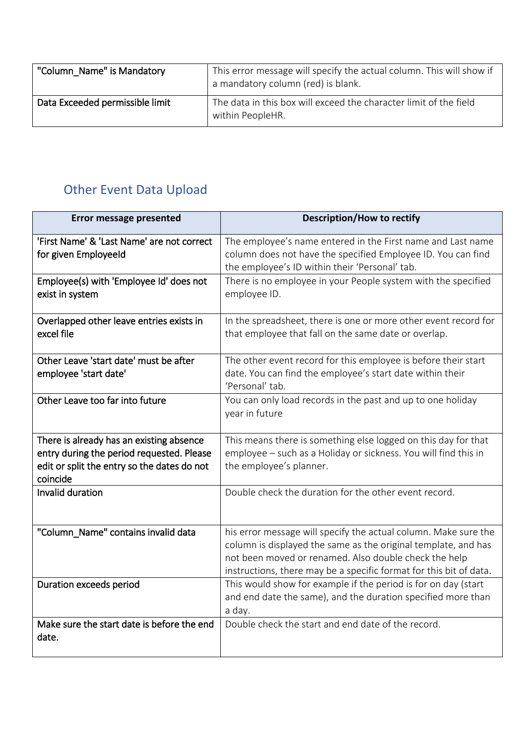| "Column Name" is Mandatory      | This error message will specify the actual column. This will show if<br>a mandatory column (red) is blank. |
|---------------------------------|------------------------------------------------------------------------------------------------------------|
| Data Exceeded permissible limit | The data in this box will exceed the character limit of the field<br>within PeopleHR.                      |

### <span id="page-6-0"></span>Other Event Data Upload

| <b>Error message presented</b>                                                                                                                   | <b>Description/How to rectify</b>                                                                                                                                                                                                                                |
|--------------------------------------------------------------------------------------------------------------------------------------------------|------------------------------------------------------------------------------------------------------------------------------------------------------------------------------------------------------------------------------------------------------------------|
| 'First Name' & 'Last Name' are not correct<br>for given Employeeld                                                                               | The employee's name entered in the First name and Last name<br>column does not have the specified Employee ID. You can find<br>the employee's ID within their 'Personal' tab.                                                                                    |
| Employee(s) with 'Employee Id' does not<br>exist in system                                                                                       | There is no employee in your People system with the specified<br>employee ID.                                                                                                                                                                                    |
| Overlapped other leave entries exists in<br>excel file                                                                                           | In the spreadsheet, there is one or more other event record for<br>that employee that fall on the same date or overlap.                                                                                                                                          |
| Other Leave 'start date' must be after<br>employee 'start date'                                                                                  | The other event record for this employee is before their start<br>date. You can find the employee's start date within their<br>'Personal' tab.                                                                                                                   |
| Other Leave too far into future                                                                                                                  | You can only load records in the past and up to one holiday<br>year in future                                                                                                                                                                                    |
| There is already has an existing absence<br>entry during the period requested. Please<br>edit or split the entry so the dates do not<br>coincide | This means there is something else logged on this day for that<br>employee - such as a Holiday or sickness. You will find this in<br>the employee's planner.                                                                                                     |
| Invalid duration                                                                                                                                 | Double check the duration for the other event record.                                                                                                                                                                                                            |
| "Column Name" contains invalid data                                                                                                              | his error message will specify the actual column. Make sure the<br>column is displayed the same as the original template, and has<br>not been moved or renamed. Also double check the help<br>instructions, there may be a specific format for this bit of data. |
| Duration exceeds period                                                                                                                          | This would show for example if the period is for on day (start<br>and end date the same), and the duration specified more than<br>a day.                                                                                                                         |
| Make sure the start date is before the end<br>date.                                                                                              | Double check the start and end date of the record.                                                                                                                                                                                                               |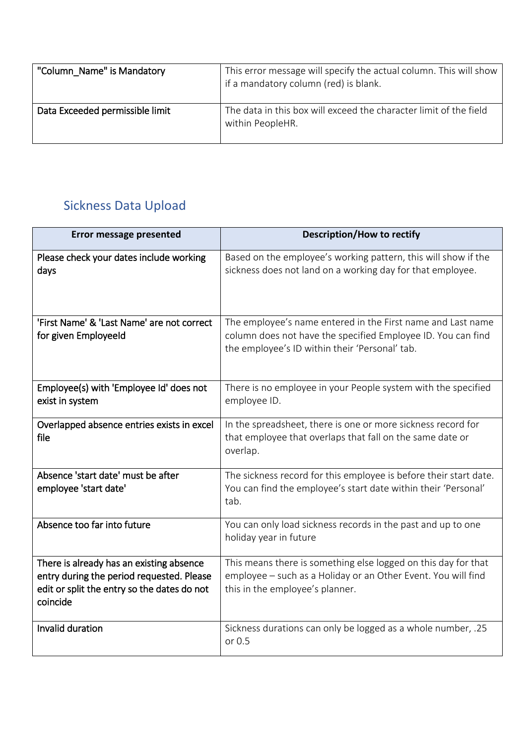| "Column_Name" is Mandatory      | This error message will specify the actual column. This will show<br>if a mandatory column (red) is blank. |
|---------------------------------|------------------------------------------------------------------------------------------------------------|
| Data Exceeded permissible limit | The data in this box will exceed the character limit of the field<br>within PeopleHR.                      |

### <span id="page-7-0"></span>Sickness Data Upload

| <b>Error message presented</b>                                                                                                                   | <b>Description/How to rectify</b>                                                                                                                                             |
|--------------------------------------------------------------------------------------------------------------------------------------------------|-------------------------------------------------------------------------------------------------------------------------------------------------------------------------------|
| Please check your dates include working<br>days                                                                                                  | Based on the employee's working pattern, this will show if the<br>sickness does not land on a working day for that employee.                                                  |
| 'First Name' & 'Last Name' are not correct<br>for given Employeeld                                                                               | The employee's name entered in the First name and Last name<br>column does not have the specified Employee ID. You can find<br>the employee's ID within their 'Personal' tab. |
| Employee(s) with 'Employee Id' does not<br>exist in system                                                                                       | There is no employee in your People system with the specified<br>employee ID.                                                                                                 |
| Overlapped absence entries exists in excel<br>file                                                                                               | In the spreadsheet, there is one or more sickness record for<br>that employee that overlaps that fall on the same date or<br>overlap.                                         |
| Absence 'start date' must be after<br>employee 'start date'                                                                                      | The sickness record for this employee is before their start date.<br>You can find the employee's start date within their 'Personal'<br>tab.                                   |
| Absence too far into future                                                                                                                      | You can only load sickness records in the past and up to one<br>holiday year in future                                                                                        |
| There is already has an existing absence<br>entry during the period requested. Please<br>edit or split the entry so the dates do not<br>coincide | This means there is something else logged on this day for that<br>employee - such as a Holiday or an Other Event. You will find<br>this in the employee's planner.            |
| Invalid duration                                                                                                                                 | Sickness durations can only be logged as a whole number, .25<br>or 0.5                                                                                                        |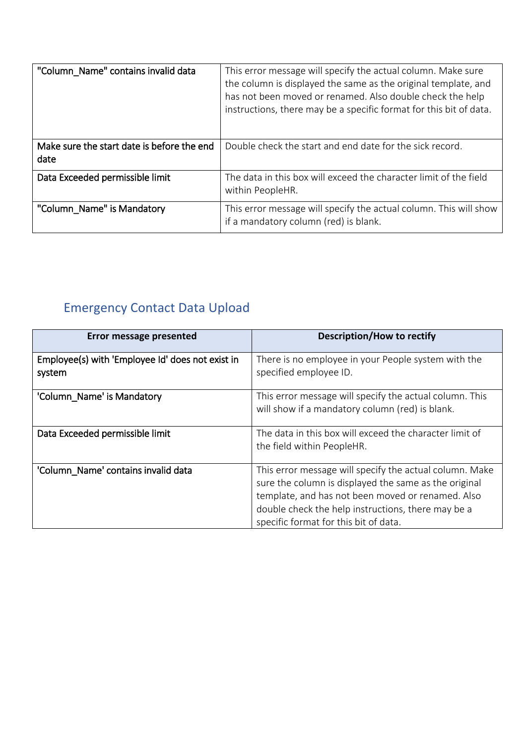| "Column_Name" contains invalid data                | This error message will specify the actual column. Make sure<br>the column is displayed the same as the original template, and<br>has not been moved or renamed. Also double check the help<br>instructions, there may be a specific format for this bit of data. |
|----------------------------------------------------|-------------------------------------------------------------------------------------------------------------------------------------------------------------------------------------------------------------------------------------------------------------------|
| Make sure the start date is before the end<br>date | Double check the start and end date for the sick record.                                                                                                                                                                                                          |
| Data Exceeded permissible limit                    | The data in this box will exceed the character limit of the field<br>within PeopleHR.                                                                                                                                                                             |
| "Column_Name" is Mandatory                         | This error message will specify the actual column. This will show<br>if a mandatory column (red) is blank.                                                                                                                                                        |

# <span id="page-8-0"></span>Emergency Contact Data Upload

| <b>Error message presented</b>                             | <b>Description/How to rectify</b>                                                                                                                                                                                                                                    |
|------------------------------------------------------------|----------------------------------------------------------------------------------------------------------------------------------------------------------------------------------------------------------------------------------------------------------------------|
| Employee(s) with 'Employee Id' does not exist in<br>system | There is no employee in your People system with the<br>specified employee ID.                                                                                                                                                                                        |
| 'Column_Name' is Mandatory                                 | This error message will specify the actual column. This<br>will show if a mandatory column (red) is blank.                                                                                                                                                           |
| Data Exceeded permissible limit                            | The data in this box will exceed the character limit of<br>the field within PeopleHR.                                                                                                                                                                                |
| 'Column Name' contains invalid data                        | This error message will specify the actual column. Make<br>sure the column is displayed the same as the original<br>template, and has not been moved or renamed. Also<br>double check the help instructions, there may be a<br>specific format for this bit of data. |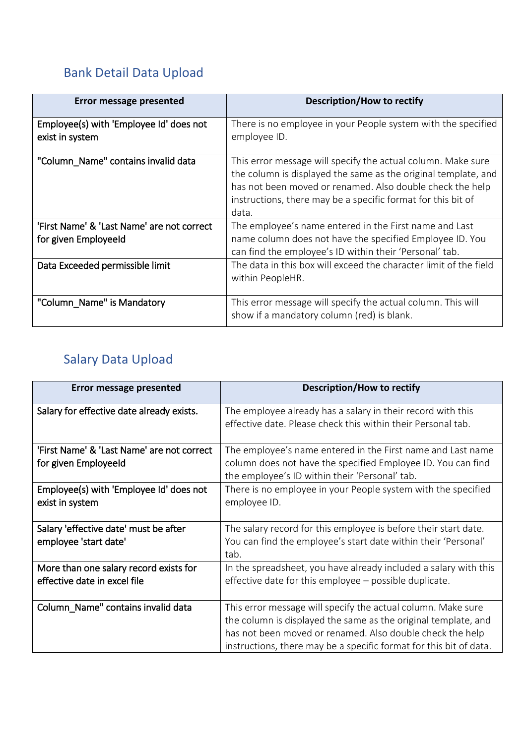### <span id="page-9-0"></span>Bank Detail Data Upload

| Error message presented                                            | <b>Description/How to rectify</b>                                                                                                                                                                                                                                    |
|--------------------------------------------------------------------|----------------------------------------------------------------------------------------------------------------------------------------------------------------------------------------------------------------------------------------------------------------------|
| Employee(s) with 'Employee Id' does not<br>exist in system         | There is no employee in your People system with the specified<br>employee ID.                                                                                                                                                                                        |
| "Column_Name" contains invalid data                                | This error message will specify the actual column. Make sure<br>the column is displayed the same as the original template, and<br>has not been moved or renamed. Also double check the help<br>instructions, there may be a specific format for this bit of<br>data. |
| 'First Name' & 'Last Name' are not correct<br>for given Employeeld | The employee's name entered in the First name and Last<br>name column does not have the specified Employee ID. You<br>can find the employee's ID within their 'Personal' tab.                                                                                        |
| Data Exceeded permissible limit                                    | The data in this box will exceed the character limit of the field<br>within PeopleHR.                                                                                                                                                                                |
| "Column_Name" is Mandatory                                         | This error message will specify the actual column. This will<br>show if a mandatory column (red) is blank.                                                                                                                                                           |

### <span id="page-9-1"></span>Salary Data Upload

| <b>Error message presented</b>                                         | <b>Description/How to rectify</b>                                                                                                                                                                                                                                 |
|------------------------------------------------------------------------|-------------------------------------------------------------------------------------------------------------------------------------------------------------------------------------------------------------------------------------------------------------------|
| Salary for effective date already exists.                              | The employee already has a salary in their record with this<br>effective date. Please check this within their Personal tab.                                                                                                                                       |
| 'First Name' & 'Last Name' are not correct<br>for given Employeeld     | The employee's name entered in the First name and Last name<br>column does not have the specified Employee ID. You can find<br>the employee's ID within their 'Personal' tab.                                                                                     |
| Employee(s) with 'Employee Id' does not<br>exist in system             | There is no employee in your People system with the specified<br>employee ID.                                                                                                                                                                                     |
| Salary 'effective date' must be after<br>employee 'start date'         | The salary record for this employee is before their start date.<br>You can find the employee's start date within their 'Personal'<br>tab.                                                                                                                         |
| More than one salary record exists for<br>effective date in excel file | In the spreadsheet, you have already included a salary with this<br>effective date for this employee – possible duplicate.                                                                                                                                        |
| Column_Name" contains invalid data                                     | This error message will specify the actual column. Make sure<br>the column is displayed the same as the original template, and<br>has not been moved or renamed. Also double check the help<br>instructions, there may be a specific format for this bit of data. |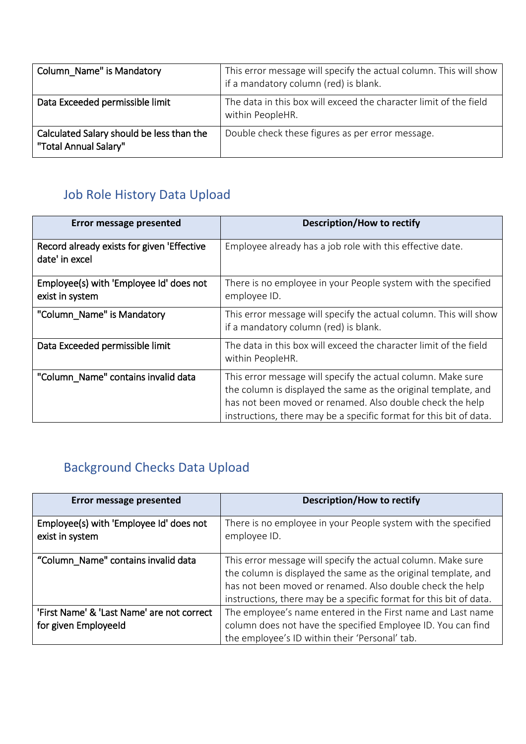| Column Name" is Mandatory                                          | This error message will specify the actual column. This will show<br>if a mandatory column (red) is blank. |
|--------------------------------------------------------------------|------------------------------------------------------------------------------------------------------------|
| Data Exceeded permissible limit                                    | The data in this box will exceed the character limit of the field<br>within PeopleHR.                      |
| Calculated Salary should be less than the<br>"Total Annual Salary" | Double check these figures as per error message.                                                           |

### <span id="page-10-0"></span>Job Role History Data Upload

| Error message presented                                      | <b>Description/How to rectify</b>                                                                                                                                                                                                                                 |
|--------------------------------------------------------------|-------------------------------------------------------------------------------------------------------------------------------------------------------------------------------------------------------------------------------------------------------------------|
| Record already exists for given 'Effective<br>date' in excel | Employee already has a job role with this effective date.                                                                                                                                                                                                         |
| Employee(s) with 'Employee Id' does not<br>exist in system   | There is no employee in your People system with the specified<br>employee ID.                                                                                                                                                                                     |
| "Column_Name" is Mandatory                                   | This error message will specify the actual column. This will show<br>if a mandatory column (red) is blank.                                                                                                                                                        |
| Data Exceeded permissible limit                              | The data in this box will exceed the character limit of the field<br>within PeopleHR.                                                                                                                                                                             |
| "Column_Name" contains invalid data                          | This error message will specify the actual column. Make sure<br>the column is displayed the same as the original template, and<br>has not been moved or renamed. Also double check the help<br>instructions, there may be a specific format for this bit of data. |

# <span id="page-10-1"></span>Background Checks Data Upload

| <b>Error message presented</b>                                     | <b>Description/How to rectify</b>                                                                                                                                                                                                                                 |
|--------------------------------------------------------------------|-------------------------------------------------------------------------------------------------------------------------------------------------------------------------------------------------------------------------------------------------------------------|
| Employee(s) with 'Employee Id' does not<br>exist in system         | There is no employee in your People system with the specified<br>employee ID.                                                                                                                                                                                     |
| "Column_Name" contains invalid data                                | This error message will specify the actual column. Make sure<br>the column is displayed the same as the original template, and<br>has not been moved or renamed. Also double check the help<br>instructions, there may be a specific format for this bit of data. |
| 'First Name' & 'Last Name' are not correct<br>for given Employeeld | The employee's name entered in the First name and Last name<br>column does not have the specified Employee ID. You can find<br>the employee's ID within their 'Personal' tab.                                                                                     |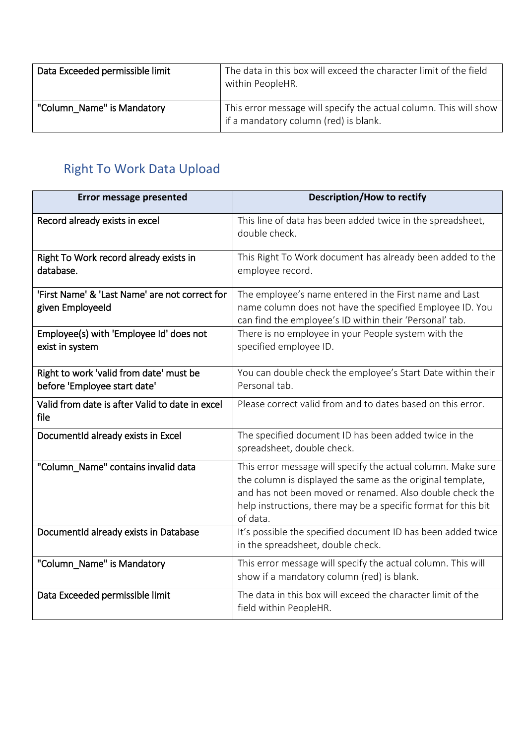| Data Exceeded permissible limit | The data in this box will exceed the character limit of the field<br>within PeopleHR.                      |
|---------------------------------|------------------------------------------------------------------------------------------------------------|
| "Column Name" is Mandatory      | This error message will specify the actual column. This will show<br>if a mandatory column (red) is blank. |

# <span id="page-11-0"></span>Right To Work Data Upload

| <b>Error message presented</b>                                          | <b>Description/How to rectify</b>                                                                                                                                                                                                                                    |
|-------------------------------------------------------------------------|----------------------------------------------------------------------------------------------------------------------------------------------------------------------------------------------------------------------------------------------------------------------|
| Record already exists in excel                                          | This line of data has been added twice in the spreadsheet,<br>double check.                                                                                                                                                                                          |
| Right To Work record already exists in<br>database.                     | This Right To Work document has already been added to the<br>employee record.                                                                                                                                                                                        |
| 'First Name' & 'Last Name' are not correct for<br>given Employeeld      | The employee's name entered in the First name and Last<br>name column does not have the specified Employee ID. You<br>can find the employee's ID within their 'Personal' tab.                                                                                        |
| Employee(s) with 'Employee Id' does not<br>exist in system              | There is no employee in your People system with the<br>specified employee ID.                                                                                                                                                                                        |
| Right to work 'valid from date' must be<br>before 'Employee start date' | You can double check the employee's Start Date within their<br>Personal tab.                                                                                                                                                                                         |
| Valid from date is after Valid to date in excel<br>file                 | Please correct valid from and to dates based on this error.                                                                                                                                                                                                          |
| DocumentId already exists in Excel                                      | The specified document ID has been added twice in the<br>spreadsheet, double check.                                                                                                                                                                                  |
| "Column_Name" contains invalid data                                     | This error message will specify the actual column. Make sure<br>the column is displayed the same as the original template,<br>and has not been moved or renamed. Also double check the<br>help instructions, there may be a specific format for this bit<br>of data. |
| DocumentId already exists in Database                                   | It's possible the specified document ID has been added twice<br>in the spreadsheet, double check.                                                                                                                                                                    |
| "Column_Name" is Mandatory                                              | This error message will specify the actual column. This will<br>show if a mandatory column (red) is blank.                                                                                                                                                           |
| Data Exceeded permissible limit                                         | The data in this box will exceed the character limit of the<br>field within PeopleHR.                                                                                                                                                                                |